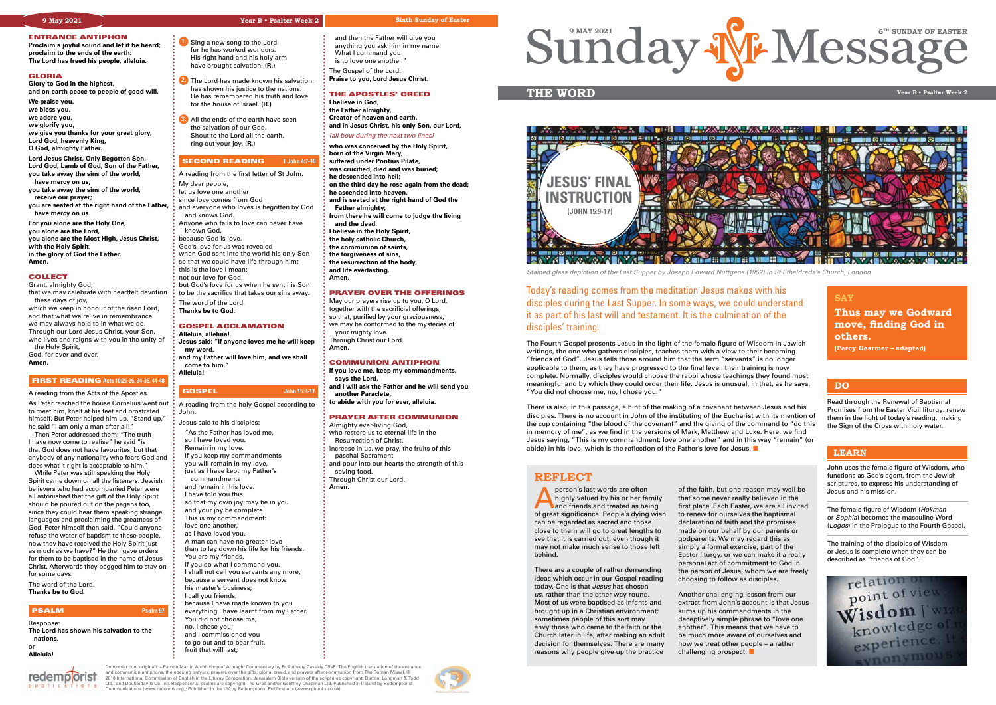#### ENTRANCE ANTIPHON

**Proclaim a joyful sound and let it be heard; proclaim to the ends of the earth: The Lord has freed his people, alleluia.**

#### GLORIA

**Glory to God in the highest, and on earth peace to people of good will.**

**We praise you, we bless you, we adore you, we glorify you, we give you thanks for your great glory, Lord God, heavenly King,**

Then Peter addressed them: "The truth I have now come to realise" he said "is that God does not have favourites, but that anybody of any nationality who fears God and does what it right is acceptable to him."

- **O God, almighty Father.**
- **Lord Jesus Christ, Only Begotten Son, Lord God, Lamb of God, Son of the Father, you take away the sins of the world,**

**have mercy on us; you take away the sins of the world, receive our prayer; you are seated at the right hand of the Father,** 

**have mercy on us. For you alone are the Holy One, you alone are the Lord, you alone are the Most High, Jesus Christ, with the Holy Spirit, in the glory of God the Father. Amen.**

#### **COLLECT**

1. Sing a new song to the Lord for he has worked wonders. His right hand and his holy arm have brought salvation. **(R.)**

Grant, almighty God, that we may celebrate with heartfelt devotion these days of joy, which we keep in honour of the risen Lord. and that what we relive in remembrance we may always hold to in what we do. Through our Lord Jesus Christ, your Son, who lives and reigns with you in the unity of the Holy Spirit, God, for ever and ever. **Amen.**

2. The Lord has made known his salvation: has shown his justice to the nations. He has remembered his truth and love for the house of Israel. **(R.)**

**3.** All the ends of the earth have seen the salvation of our God. Shout to the Lord all the earth, ring out your joy. **(R.)**

### **SECOND READING** 1 John 4:7-10

## FIRST READING **Acts 10:25-26. 34-35. 44-48**

A reading from the Acts of the Apostles.

As Peter reached the house Cornelius went out to meet him, knelt at his feet and prostrated himself. But Peter helped him up. "Stand up," he said "I am only a man after all!"

While Peter was still speaking the Holy Spirit came down on all the listeners. Jewish believers who had accompanied Peter were all astonished that the gift of the Holy Spirit should be poured out on the pagans too, since they could hear them speaking strange languages and proclaiming the greatness of God. Peter himself then said, "Could anyone refuse the water of baptism to these people, now they have received the Holy Spirit just as much as we have?" He then gave orders for them to be baptised in the name of Jesus Christ. Afterwards they begged him to stay on for some days.

The word of the Lord. **Thanks be to God.** 

#### PSALM **Psalm 97**

Response: **The Lord has shown his salvation to the nations.** or

#### **Alleluia!**

redemporist

together with the sacrificial offerings so that, purified by your graciousness, we may be conformed to the mysteries of your mighty love. Through Christ our Lord. **Amen.**

A reading from the first letter of St John. My dear people, let us love one another since love comes from God and everyone who loves is begotten by God and knows God. Anyone who fails to love can never have known God, because God is love. God's love for us was revealed when God sent into the world his only Son so that we could have life through him; this is the love I mean: not our love for God, but God's love for us when he sent his Son to be the sacrifice that takes our sins away.

> There is also, in this passage, a hint of the making of a covenant between Jesus and his disciples. There is no account in John of the instituting of the Eucharist with its mention of the cup containing "the blood of the covenant" and the giving of the command to "do this in memory of me", as we find in the versions of Mark, Matthew and Luke. Here, we find Jesus saying, "This is my commandment: love one another" and in this way "remain" (or abide) in his love, which is the reflection of the Father's love for Jesus.  $\blacksquare$

The word of the Lord. **Thanks be to God.**

#### GOSPEL ACCLAMATION **Alleluia, alleluia!**

**Jesus said: "If anyone loves me he will keep my word, and my Father will love him, and we shall come to him." Alleluia!**

> **A person's last words are often**<br>highly valued by his or her fa<br>and friends and treated as be highly valued by his or her family and friends and treated as being of great significance. People's dying wish can be regarded as sacred and those close to them will go to great lengths to see that it is carried out, even though it may not make much sense to those left behind.

#### GOSPEL **John 15:9-17**

A reading from the holy Gospel according to John.

> Another challenging lesson from our extract from John's account is that Jesus sums up his commandments in the deceptively simple phrase to "love one another". This means that we have to be much more aware of ourselves and how we treat other people – a rather challenging prospect.  $\blacksquare$

Concordat cum originali: + Eamon Martin Archbishop of Armagh. Commentary by Fr Anthony Cassidy CSsR. The English translation of the entrance and communion antiphons, the opening prayers, prayers over the gifts, gloria, creed, and prayers after communion from The Roman Missal, ©<br>2010 International Commission of English in the Liturgy Corporation. Jerusalem Bible



# **9 May 2021** And  $\overline{X}$  **Passet Allen Easter Week 2 Sixth Sunday of Easter** Sixth Sunday of Easter

# **6TH SUNDAY OF EASTER 6TH SUNDAY OF EASTER**

Jesus said to his disciples: "As the Father has loved me, so I have loved you. Remain in my love. If you keep my commandments you will remain in my love, just as I have kept my Father's commandments and remain in his love. I have told you this so that my own joy may be in you and your joy be complete. This is my commandment: love one another, as I have loved you. A man can have no greater love than to lay down his life for his friends. You are my friends, if you do what I command you. I shall not call you servants any more, because a servant does not know his master's business; I call you friends, because I have made known to you everything I have learnt from my Father. You did not choose me, no, I chose you; and I commissioned you

to go out and to bear fruit, fruit that will last;

and then the Father will give you anything you ask him in my name. What I command you is to love one another." The Gospel of the Lord.

**Praise to you, Lord Jesus Christ.**

#### THE APOSTLES' CREED **I believe in God,**

**the Father almighty, Creator of heaven and earth, and in Jesus Christ, his only Son, our Lord,**

#### *(all bow during the next two lines)*

**who was conceived by the Holy Spirit, born of the Virgin Mary, suffered under Pontius Pilate, was crucified, died and was buried; he descended into hell; on the third day he rose again from the dead; he ascended into heaven, and is seated at the right hand of God the Father almighty; from there he will come to judge the living and the dead. I believe in the Holy Spirit, the holy catholic Church, the communion of saints, the forgiveness of sins, the resurrection of the body, and life everlasting. Amen.** PRAYER OVER THE OFFERINGS May our prayers rise up to you, O Lord,

#### COMMUNION ANTIPHON

**If you love me, keep my commandments, says the Lord,**

**and I will ask the Father and he will send you another Paraclete,**

**to abide with you for ever, alleluia.**

# PRAYER AFTER COMMUNION

Almighty ever-living God, who restore us to eternal life in the Resurrection of Christ, increase in us, we pray, the fruits of this paschal Sacrament and pour into our hearts the strength of this saving food. Through Christ our Lord. **Amen.**



Today's reading comes from the meditation Jesus makes with his disciples during the Last Supper. In some ways, we could understand it as part of his last will and testament. It is the culmination of the disciples' training.

The Fourth Gospel presents Jesus in the light of the female figure of Wisdom in Jewish writings, the one who gathers disciples, teaches them with a view to their becoming "friends of God". Jesus tells those around him that the term "servants" is no longer applicable to them, as they have progressed to the final level: their training is now complete. Normally, disciples would choose the rabbi whose teachings they found most meaningful and by which they could order their life. Jesus is unusual, in that, as he says, "You did not choose me, no, I chose you."

There are a couple of rather demanding ideas which occur in our Gospel reading today. One is that *Jesus* has chosen *us*, rather than the other way round. Most of us were baptised as infants and brought up in a Christian environment: sometimes people of this sort may envy those who came to the faith or the Church later in life, after making an adult decision for themselves. There are many reasons why people give up the practice

of the faith, but one reason may well be that some never really believed in the first place. Each Easter, we are all invited. to renew for ourselves the baptismal declaration of faith and the promises made on our behalf by our parents or godparents. We may regard this as simply a formal exercise, part of the Easter liturgy, or we can make it a really personal act of commitment to God in the person of Jesus, whom we are freely choosing to follow as disciples.

# **REFLECT**

# **THE WORD Year B • Psalter Week 2**

## **SAY**

**Thus may we Godward move, finding God in others.**

**(Percy Dearmer – adapted)**

John uses the female figure of Wisdom, who functions as God's agent, from the Jewish scriptures, to express his understanding of Jesus and his mission.

The female figure of Wisdom (*Hokmah* or *Sophia*) becomes the masculine Word (*Logos*) in the Prologue to the Fourth Gospel.

The training of the disciples of Wisdom or Jesus is complete when they can be described as "friends of God".



# **LEARN**

Read through the Renewal of Baptismal Promises from the Easter Vigil liturgy: renew them in the light of today's reading, making the Sign of the Cross with holy water.

# **DO**



*Stained glass depiction of the Last Supper by Joseph Edward Nuttgens (1952) in St Etheldreda's Church, London*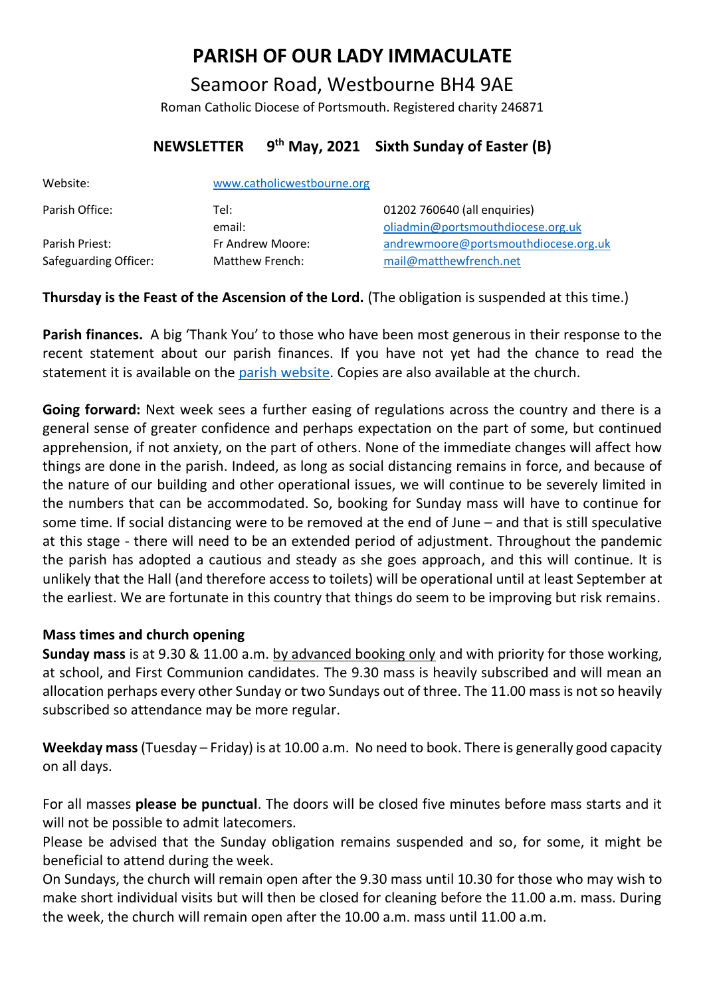# **PARISH OF OUR LADY IMMACULATE**

Seamoor Road, Westbourne BH4 9AE Roman Catholic Diocese of Portsmouth. Registered charity 246871

#### **NEWSLETTER 9 th May, 2021 Sixth Sunday of Easter (B)**

| Website:                                | www.catholicwestbourne.org          |                                                                   |
|-----------------------------------------|-------------------------------------|-------------------------------------------------------------------|
| Parish Office:                          | Tel:<br>email:                      | 01202 760640 (all enquiries)<br>oliadmin@portsmouthdiocese.org.uk |
| Parish Priest:<br>Safeguarding Officer: | Fr Andrew Moore:<br>Matthew French: | andrewmoore@portsmouthdiocese.org.uk<br>mail@matthewfrench.net    |

# **Thursday is the Feast of the Ascension of the Lord.** (The obligation is suspended at this time.)

**Parish finances.** A big 'Thank You' to those who have been most generous in their response to the recent statement about our parish finances. If you have not yet had the chance to read the statement it is available on the [parish website.](http://catholicwestbourne.org/getting-involved/finance-and-property/) Copies are also available at the church.

**Going forward:** Next week sees a further easing of regulations across the country and there is a general sense of greater confidence and perhaps expectation on the part of some, but continued apprehension, if not anxiety, on the part of others. None of the immediate changes will affect how things are done in the parish. Indeed, as long as social distancing remains in force, and because of the nature of our building and other operational issues, we will continue to be severely limited in the numbers that can be accommodated. So, booking for Sunday mass will have to continue for some time. If social distancing were to be removed at the end of June – and that is still speculative at this stage - there will need to be an extended period of adjustment. Throughout the pandemic the parish has adopted a cautious and steady as she goes approach, and this will continue. It is unlikely that the Hall (and therefore access to toilets) will be operational until at least September at the earliest. We are fortunate in this country that things do seem to be improving but risk remains.

# **Mass times and church opening**

**Sunday mass** is at 9.30 & 11.00 a.m. by advanced booking only and with priority for those working, at school, and First Communion candidates. The 9.30 mass is heavily subscribed and will mean an allocation perhaps every other Sunday or two Sundays out of three. The 11.00 mass is not so heavily subscribed so attendance may be more regular.

**Weekday mass**(Tuesday – Friday) is at 10.00 a.m. No need to book. There is generally good capacity on all days.

For all masses **please be punctual**. The doors will be closed five minutes before mass starts and it will not be possible to admit latecomers.

Please be advised that the Sunday obligation remains suspended and so, for some, it might be beneficial to attend during the week.

On Sundays, the church will remain open after the 9.30 mass until 10.30 for those who may wish to make short individual visits but will then be closed for cleaning before the 11.00 a.m. mass. During the week, the church will remain open after the 10.00 a.m. mass until 11.00 a.m.